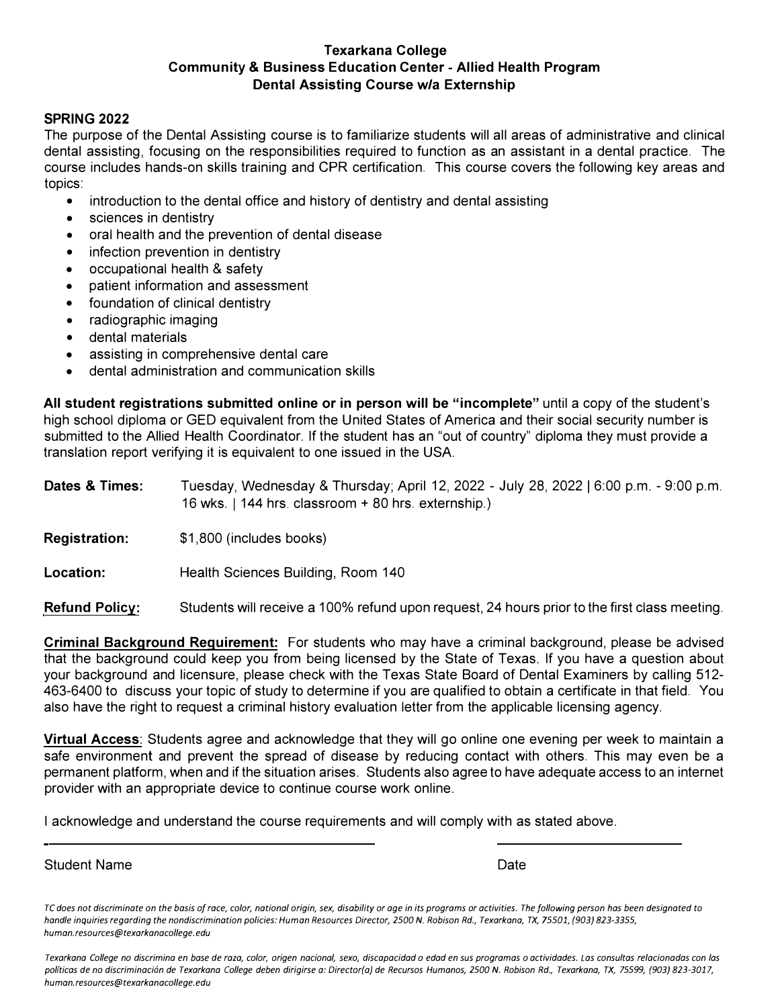## **Texarkana College Community & Business Education Center - Allied Health Program Dental Assisting Course w/a Externship**

## **SPRING 2022**

The purpose of the Dental Assisting course is to familiarize students will all areas of administrative and clinical dental assisting, focusing on the responsibilities required to function as an assistant in a dental practice. The course includes hands-on skills training and CPR certification. This course covers the following key areas and topics:

- introduction to the dental office and history of dentistry and dental assisting
- sciences in dentistry
- oral health and the prevention of dental disease
- infection prevention in dentistry
- occupational health & safety
- patient information and assessment
- foundation of clinical dentistry
- radiographic imaging
- dental materials
- assisting in comprehensive dental care
- dental administration and communication skills

**All student registrations submitted online or in person will be "incomplete"** until a copy of the student's high school diploma or GED equivalent from the United States of America and their social security number is submitted to the Allied Health Coordinator. If the student has an "out of country" diploma they must provide a translation report verifying it is equivalent to one issued in the USA.

| Dates & Times: | Tuesday, Wednesday & Thursday; April 12, 2022 - July 28, 2022   6:00 p.m. - 9:00 p.m. |
|----------------|---------------------------------------------------------------------------------------|
|                | 16 wks. $\vert$ 144 hrs. classroom + 80 hrs. externship.)                             |
|                |                                                                                       |

- **Registration:**  \$1,800 (includes books)
- **Location:**  Health Sciences Building, Room 140

**Refund Policy:**  Students will receive a 100% refund upon request, 24 hours prior to the first class meeting.

**Criminal Background Requirement:** For students who may have a criminal background, please be advised that the background could keep you from being licensed by the State of Texas. If you have a question about your background and licensure, please check with the Texas State Board of Dental Examiners by calling 512- 463-6400 to discuss your topic of study to determine if you are qualified to obtain a certificate in that field. You also have the right to request a criminal history evaluation letter from the applicable licensing agency.

**Virtual Access:** Students agree and acknowledge that they will go online one evening per week to maintain a safe environment and prevent the spread of disease by reducing contact with others. This may even be a permanent platform, when and if the situation arises. Students also agree to have adequate access to an internet provider with an appropriate device to continue course work online.

I acknowledge and understand the course requirements and will comply with as stated above.

Student Name Date Communication of the Date Date Date Date Date

*Texarkana College no discrimina en base de raza, color, origen nacional, sexo, discapacidad o edad en sus programas o actividades. Las consultas relacionadas con las polfticas de no discriminaci6n de Texarkana College deben dirigirse a: Director(a) de Recursos Humanos, 2500 N. Robison Rd., Texarkana, TX, 75599, (903} 823-3017, human.resources@texarkanacollege.edu* 

*TC does not discriminate on the basis of race, color, national origin, sex, disability or age in its programs or activities. The following person has been designated to handle inquiries regarding the nondiscrimination policies: Human Resources Director, 2500 N. Robison Rd., Texarkana, TX, 75501, (903} 823-3355, human. resources@texarkanacollege.edu*